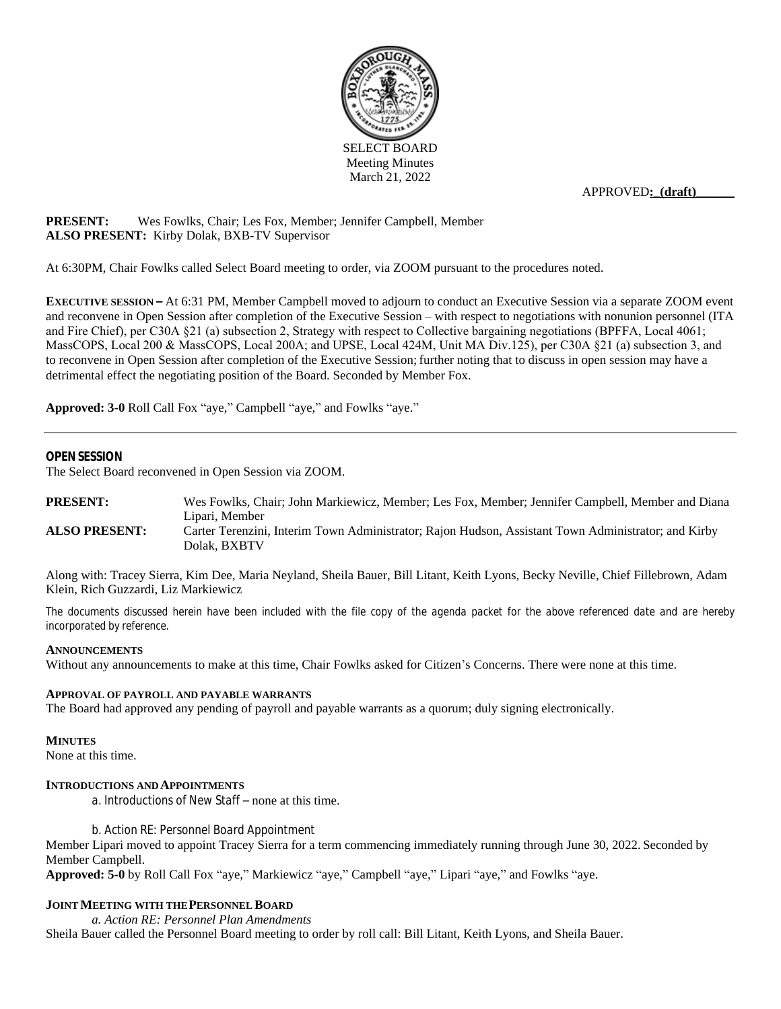

APPROVED**:\_(draft)\_\_\_\_\_\_**

# **PRESENT:** Wes Fowlks, Chair; Les Fox, Member; Jennifer Campbell, Member **ALSO PRESENT:** Kirby Dolak, BXB-TV Supervisor

At 6:30PM, Chair Fowlks called Select Board meeting to order, via ZOOM pursuant to the procedures noted.

**EXECUTIVE SESSION –** At 6:31 PM, Member Campbell moved to adjourn to conduct an Executive Session via a separate ZOOM event and reconvene in Open Session after completion of the Executive Session – with respect to negotiations with nonunion personnel (ITA and Fire Chief), per C30A §21 (a) subsection 2, Strategy with respect to Collective bargaining negotiations (BPFFA, Local 4061; MassCOPS, Local 200 & MassCOPS, Local 200A; and UPSE, Local 424M, Unit MA Div.125), per C30A §21 (a) subsection 3, and to reconvene in Open Session after completion of the Executive Session; further noting that to discuss in open session may have a detrimental effect the negotiating position of the Board. Seconded by Member Fox.

**Approved: 3-0** Roll Call Fox "aye," Campbell "aye," and Fowlks "aye."

#### **OPENSESSION**

The Select Board reconvened in Open Session via ZOOM.

**PRESENT:** Wes Fowlks, Chair; John Markiewicz, Member; Les Fox, Member; Jennifer Campbell, Member and Diana Lipari, Member **ALSO PRESENT:** Carter Terenzini, Interim Town Administrator; Rajon Hudson, Assistant Town Administrator; and Kirby Dolak, BXBTV

Along with: Tracey Sierra, Kim Dee, Maria Neyland, Sheila Bauer, Bill Litant, Keith Lyons, Becky Neville, Chief Fillebrown, Adam Klein, Rich Guzzardi, Liz Markiewicz

The documents discussed herein have been included with the file copy of the agenda packet for the above referenced date and are hereby *incorporated by reference.*

#### **ANNOUNCEMENTS**

Without any announcements to make at this time, Chair Fowlks asked for Citizen's Concerns. There were none at this time.

#### **APPROVAL OF PAYROLL AND PAYABLE WARRANTS**

The Board had approved any pending of payroll and payable warrants as a quorum; duly signing electronically.

#### **MINUTES**

None at this time.

# **INTRODUCTIONS AND APPOINTMENTS**

*a. Introductions of New Staff –* none at this time.

*b. Action RE: Personnel Board Appointment*

Member Lipari moved to appoint Tracey Sierra for a term commencing immediately running through June 30, 2022. Seconded by Member Campbell.

**Approved: 5-0** by Roll Call Fox "aye," Markiewicz "aye," Campbell "aye," Lipari "aye," and Fowlks "aye.

#### **JOINT MEETING WITH THE PERSONNEL BOARD**

*a. Action RE: Personnel Plan Amendments*

Sheila Bauer called the Personnel Board meeting to order by roll call: Bill Litant, Keith Lyons, and Sheila Bauer.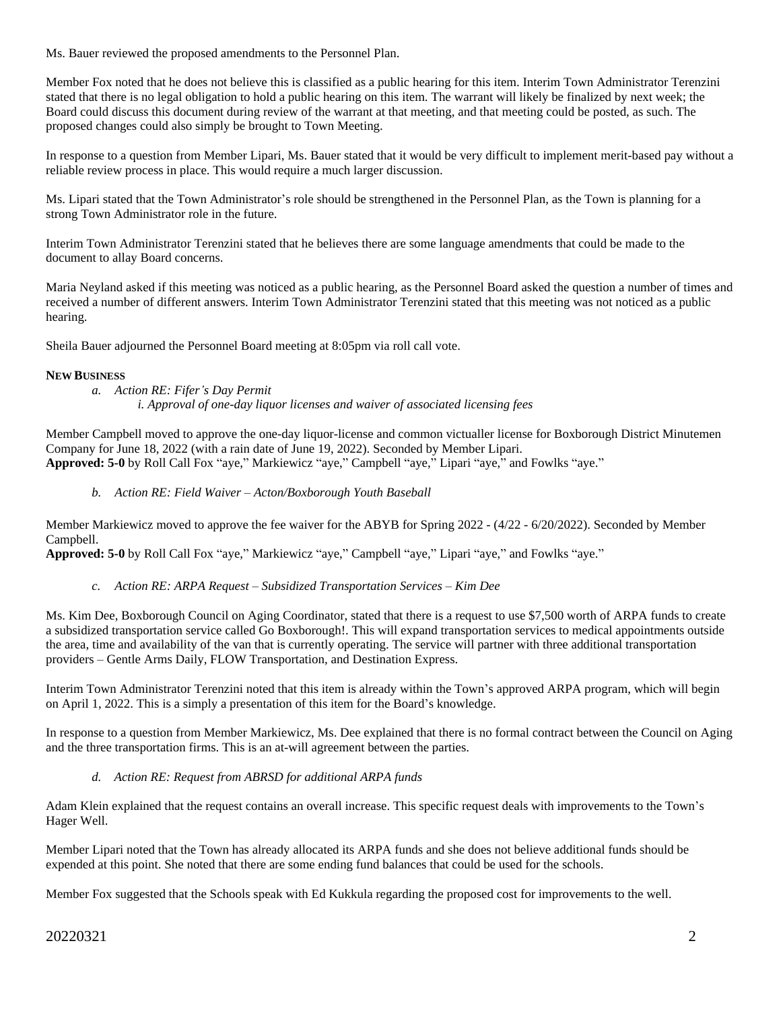Ms. Bauer reviewed the proposed amendments to the Personnel Plan.

Member Fox noted that he does not believe this is classified as a public hearing for this item. Interim Town Administrator Terenzini stated that there is no legal obligation to hold a public hearing on this item. The warrant will likely be finalized by next week; the Board could discuss this document during review of the warrant at that meeting, and that meeting could be posted, as such. The proposed changes could also simply be brought to Town Meeting.

In response to a question from Member Lipari, Ms. Bauer stated that it would be very difficult to implement merit-based pay without a reliable review process in place. This would require a much larger discussion.

Ms. Lipari stated that the Town Administrator's role should be strengthened in the Personnel Plan, as the Town is planning for a strong Town Administrator role in the future.

Interim Town Administrator Terenzini stated that he believes there are some language amendments that could be made to the document to allay Board concerns.

Maria Neyland asked if this meeting was noticed as a public hearing, as the Personnel Board asked the question a number of times and received a number of different answers. Interim Town Administrator Terenzini stated that this meeting was not noticed as a public hearing.

Sheila Bauer adjourned the Personnel Board meeting at 8:05pm via roll call vote.

### **NEW BUSINESS**

*a. Action RE: Fifer's Day Permit i. Approval of one-day liquor licenses and waiver of associated licensing fees*

Member Campbell moved to approve the one-day liquor-license and common victualler license for Boxborough District Minutemen Company for June 18, 2022 (with a rain date of June 19, 2022). Seconded by Member Lipari. **Approved: 5-0** by Roll Call Fox "aye," Markiewicz "aye," Campbell "aye," Lipari "aye," and Fowlks "aye."

*b. Action RE: Field Waiver – Acton/Boxborough Youth Baseball*

Member Markiewicz moved to approve the fee waiver for the ABYB for Spring 2022 - (4/22 - 6/20/2022). Seconded by Member Campbell.

**Approved: 5-0** by Roll Call Fox "aye," Markiewicz "aye," Campbell "aye," Lipari "aye," and Fowlks "aye."

*c. Action RE: ARPA Request – Subsidized Transportation Services – Kim Dee*

Ms. Kim Dee, Boxborough Council on Aging Coordinator, stated that there is a request to use \$7,500 worth of ARPA funds to create a subsidized transportation service called Go Boxborough!. This will expand transportation services to medical appointments outside the area, time and availability of the van that is currently operating. The service will partner with three additional transportation providers – Gentle Arms Daily, FLOW Transportation, and Destination Express.

Interim Town Administrator Terenzini noted that this item is already within the Town's approved ARPA program, which will begin on April 1, 2022. This is a simply a presentation of this item for the Board's knowledge.

In response to a question from Member Markiewicz, Ms. Dee explained that there is no formal contract between the Council on Aging and the three transportation firms. This is an at-will agreement between the parties.

## *d. Action RE: Request from ABRSD for additional ARPA funds*

Adam Klein explained that the request contains an overall increase. This specific request deals with improvements to the Town's Hager Well.

Member Lipari noted that the Town has already allocated its ARPA funds and she does not believe additional funds should be expended at this point. She noted that there are some ending fund balances that could be used for the schools.

Member Fox suggested that the Schools speak with Ed Kukkula regarding the proposed cost for improvements to the well.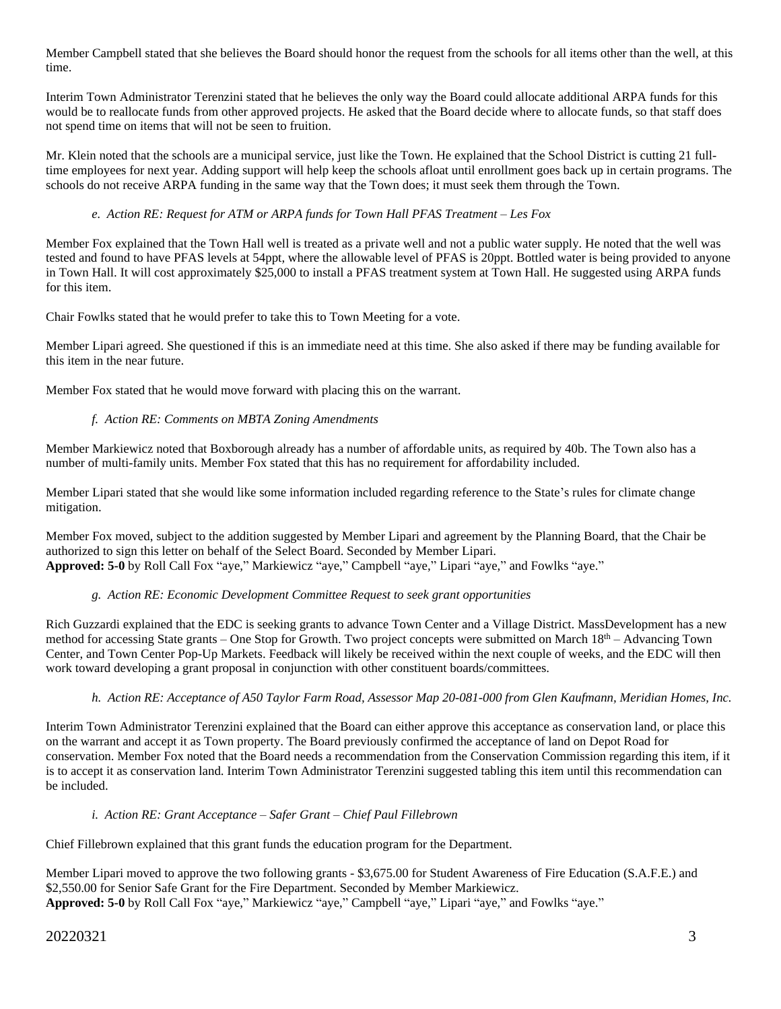Member Campbell stated that she believes the Board should honor the request from the schools for all items other than the well, at this time.

Interim Town Administrator Terenzini stated that he believes the only way the Board could allocate additional ARPA funds for this would be to reallocate funds from other approved projects. He asked that the Board decide where to allocate funds, so that staff does not spend time on items that will not be seen to fruition.

Mr. Klein noted that the schools are a municipal service, just like the Town. He explained that the School District is cutting 21 fulltime employees for next year. Adding support will help keep the schools afloat until enrollment goes back up in certain programs. The schools do not receive ARPA funding in the same way that the Town does; it must seek them through the Town.

*e. Action RE: Request for ATM or ARPA funds for Town Hall PFAS Treatment – Les Fox* 

Member Fox explained that the Town Hall well is treated as a private well and not a public water supply. He noted that the well was tested and found to have PFAS levels at 54ppt, where the allowable level of PFAS is 20ppt. Bottled water is being provided to anyone in Town Hall. It will cost approximately \$25,000 to install a PFAS treatment system at Town Hall. He suggested using ARPA funds for this item.

Chair Fowlks stated that he would prefer to take this to Town Meeting for a vote.

Member Lipari agreed. She questioned if this is an immediate need at this time. She also asked if there may be funding available for this item in the near future.

Member Fox stated that he would move forward with placing this on the warrant.

## *f. Action RE: Comments on MBTA Zoning Amendments*

Member Markiewicz noted that Boxborough already has a number of affordable units, as required by 40b. The Town also has a number of multi-family units. Member Fox stated that this has no requirement for affordability included.

Member Lipari stated that she would like some information included regarding reference to the State's rules for climate change mitigation.

Member Fox moved, subject to the addition suggested by Member Lipari and agreement by the Planning Board, that the Chair be authorized to sign this letter on behalf of the Select Board. Seconded by Member Lipari. **Approved: 5-0** by Roll Call Fox "aye," Markiewicz "aye," Campbell "aye," Lipari "aye," and Fowlks "aye."

# *g. Action RE: Economic Development Committee Request to seek grant opportunities*

Rich Guzzardi explained that the EDC is seeking grants to advance Town Center and a Village District. MassDevelopment has a new method for accessing State grants – One Stop for Growth. Two project concepts were submitted on March 18th – Advancing Town Center, and Town Center Pop-Up Markets. Feedback will likely be received within the next couple of weeks, and the EDC will then work toward developing a grant proposal in conjunction with other constituent boards/committees.

## *h. Action RE: Acceptance of A50 Taylor Farm Road, Assessor Map 20-081-000 from Glen Kaufmann, Meridian Homes, Inc.*

Interim Town Administrator Terenzini explained that the Board can either approve this acceptance as conservation land, or place this on the warrant and accept it as Town property. The Board previously confirmed the acceptance of land on Depot Road for conservation. Member Fox noted that the Board needs a recommendation from the Conservation Commission regarding this item, if it is to accept it as conservation land. Interim Town Administrator Terenzini suggested tabling this item until this recommendation can be included.

## *i. Action RE: Grant Acceptance – Safer Grant – Chief Paul Fillebrown*

Chief Fillebrown explained that this grant funds the education program for the Department.

Member Lipari moved to approve the two following grants - \$3,675.00 for Student Awareness of Fire Education (S.A.F.E.) and \$2,550.00 for Senior Safe Grant for the Fire Department. Seconded by Member Markiewicz. **Approved: 5-0** by Roll Call Fox "aye," Markiewicz "aye," Campbell "aye," Lipari "aye," and Fowlks "aye."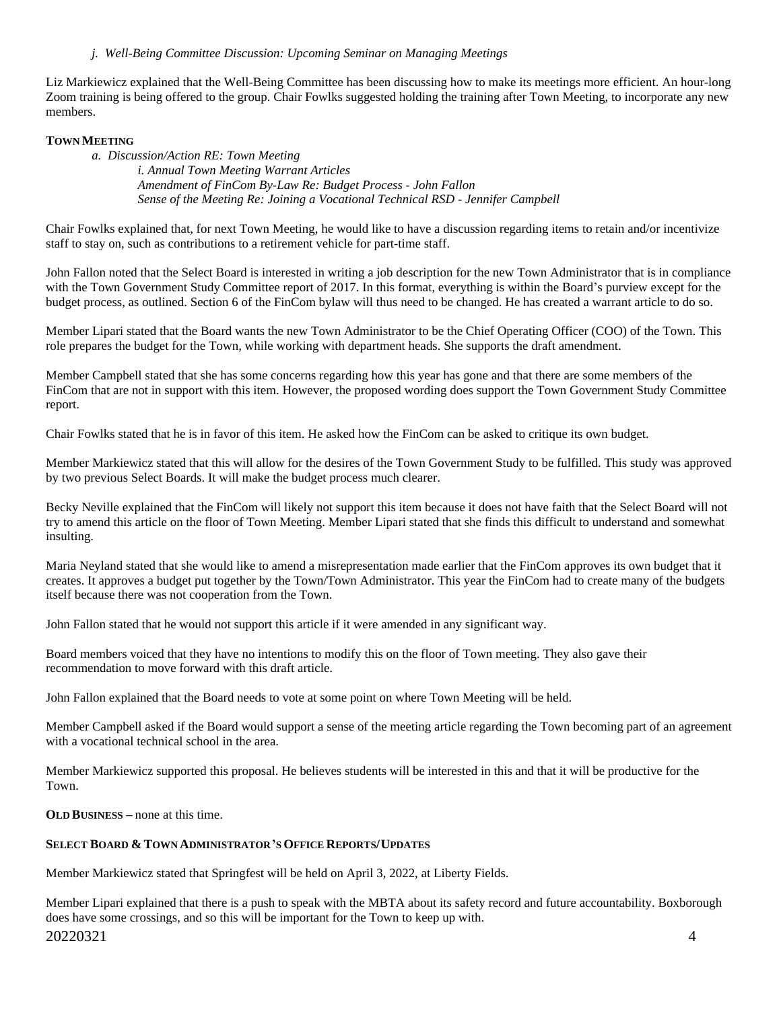### *j. Well-Being Committee Discussion: Upcoming Seminar on Managing Meetings*

Liz Markiewicz explained that the Well-Being Committee has been discussing how to make its meetings more efficient. An hour-long Zoom training is being offered to the group. Chair Fowlks suggested holding the training after Town Meeting, to incorporate any new members.

### **TOWN MEETING**

*a. Discussion/Action RE: Town Meeting*

*i. Annual Town Meeting Warrant Articles Amendment of FinCom By-Law Re: Budget Process - John Fallon Sense of the Meeting Re: Joining a Vocational Technical RSD - Jennifer Campbell*

Chair Fowlks explained that, for next Town Meeting, he would like to have a discussion regarding items to retain and/or incentivize staff to stay on, such as contributions to a retirement vehicle for part-time staff.

John Fallon noted that the Select Board is interested in writing a job description for the new Town Administrator that is in compliance with the Town Government Study Committee report of 2017. In this format, everything is within the Board's purview except for the budget process, as outlined. Section 6 of the FinCom bylaw will thus need to be changed. He has created a warrant article to do so.

Member Lipari stated that the Board wants the new Town Administrator to be the Chief Operating Officer (COO) of the Town. This role prepares the budget for the Town, while working with department heads. She supports the draft amendment.

Member Campbell stated that she has some concerns regarding how this year has gone and that there are some members of the FinCom that are not in support with this item. However, the proposed wording does support the Town Government Study Committee report.

Chair Fowlks stated that he is in favor of this item. He asked how the FinCom can be asked to critique its own budget.

Member Markiewicz stated that this will allow for the desires of the Town Government Study to be fulfilled. This study was approved by two previous Select Boards. It will make the budget process much clearer.

Becky Neville explained that the FinCom will likely not support this item because it does not have faith that the Select Board will not try to amend this article on the floor of Town Meeting. Member Lipari stated that she finds this difficult to understand and somewhat insulting.

Maria Neyland stated that she would like to amend a misrepresentation made earlier that the FinCom approves its own budget that it creates. It approves a budget put together by the Town/Town Administrator. This year the FinCom had to create many of the budgets itself because there was not cooperation from the Town.

John Fallon stated that he would not support this article if it were amended in any significant way.

Board members voiced that they have no intentions to modify this on the floor of Town meeting. They also gave their recommendation to move forward with this draft article.

John Fallon explained that the Board needs to vote at some point on where Town Meeting will be held.

Member Campbell asked if the Board would support a sense of the meeting article regarding the Town becoming part of an agreement with a vocational technical school in the area.

Member Markiewicz supported this proposal. He believes students will be interested in this and that it will be productive for the Town.

**OLD BUSINESS –** none at this time.

#### **SELECT BOARD & TOWN ADMINISTRATOR'S OFFICE REPORTS/UPDATES**

Member Markiewicz stated that Springfest will be held on April 3, 2022, at Liberty Fields.

20220321 4 Member Lipari explained that there is a push to speak with the MBTA about its safety record and future accountability. Boxborough does have some crossings, and so this will be important for the Town to keep up with.